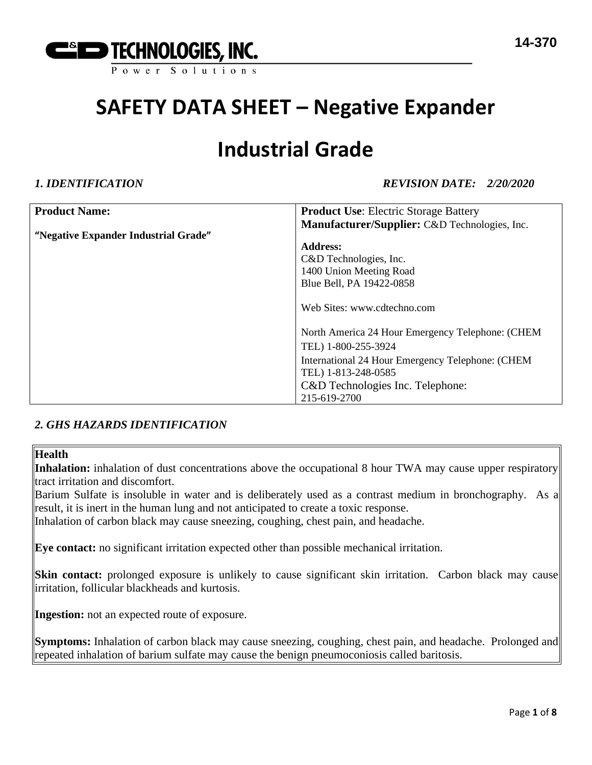

### **Industrial Grade**

*1. IDENTIFICATION REVISION DATE: 2/20/2020*

| <b>Product Name:</b>                 | <b>Product Use:</b> Electric Storage Battery     |
|--------------------------------------|--------------------------------------------------|
|                                      | Manufacturer/Supplier: C&D Technologies, Inc.    |
| "Negative Expander Industrial Grade" |                                                  |
|                                      | <b>Address:</b>                                  |
|                                      | C&D Technologies, Inc.                           |
|                                      | 1400 Union Meeting Road                          |
|                                      | Blue Bell, PA 19422-0858                         |
|                                      |                                                  |
|                                      | Web Sites: www.cdtechno.com                      |
|                                      |                                                  |
|                                      | North America 24 Hour Emergency Telephone: (CHEM |
|                                      | TEL) 1-800-255-3924                              |
|                                      | International 24 Hour Emergency Telephone: (CHEM |
|                                      | TEL) 1-813-248-0585                              |
|                                      | C&D Technologies Inc. Telephone:                 |
|                                      | 215-619-2700                                     |

### *2. GHS HAZARDS IDENTIFICATION*

#### **Health**

Inhalation: inhalation of dust concentrations above the occupational 8 hour TWA may cause upper respiratory tract irritation and discomfort.

Barium Sulfate is insoluble in water and is deliberately used as a contrast medium in bronchography. As a result, it is inert in the human lung and not anticipated to create a toxic response.

Inhalation of carbon black may cause sneezing, coughing, chest pain, and headache.

**Eye contact:** no significant irritation expected other than possible mechanical irritation.

**Skin contact:** prolonged exposure is unlikely to cause significant skin irritation. Carbon black may cause irritation, follicular blackheads and kurtosis.

**Ingestion:** not an expected route of exposure.

**Symptoms:** Inhalation of carbon black may cause sneezing, coughing, chest pain, and headache. Prolonged and repeated inhalation of barium sulfate may cause the benign pneumoconiosis called baritosis.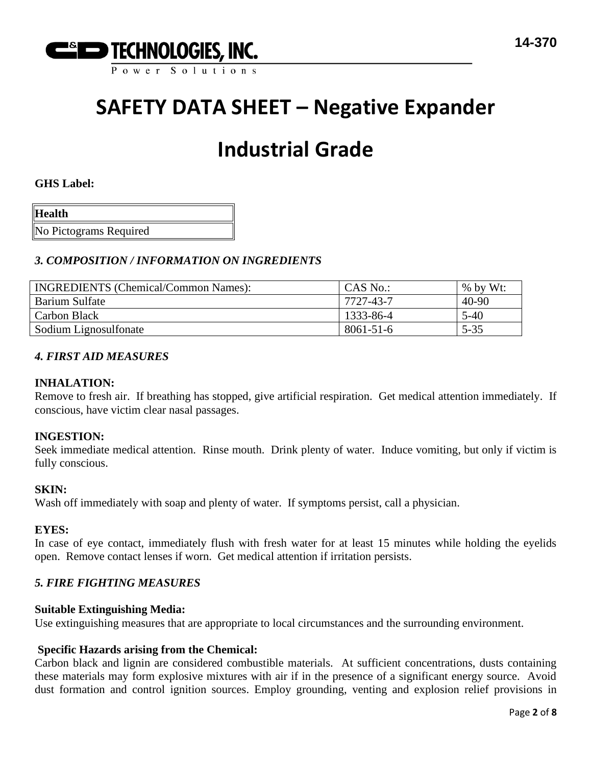

# **Industrial Grade**

#### **GHS Label:**

| <b>Health</b>          |  |
|------------------------|--|
| No Pictograms Required |  |

### *3. COMPOSITION / INFORMATION ON INGREDIENTS*

| <b>INGREDIENTS</b> (Chemical/Common Names): | CAS No.:        | $%$ by Wt: |
|---------------------------------------------|-----------------|------------|
| Barium Sulfate                              | 7727-43-7       | $40 - 90$  |
| Carbon Black                                | 1333-86-4       | 5-40       |
| Sodium Lignosulfonate                       | $8061 - 51 - 6$ | $5 - 35$   |

#### *4. FIRST AID MEASURES*

#### **INHALATION:**

Remove to fresh air. If breathing has stopped, give artificial respiration. Get medical attention immediately. If conscious, have victim clear nasal passages.

#### **INGESTION:**

Seek immediate medical attention. Rinse mouth. Drink plenty of water. Induce vomiting, but only if victim is fully conscious.

#### **SKIN:**

Wash off immediately with soap and plenty of water. If symptoms persist, call a physician.

#### **EYES:**

In case of eye contact, immediately flush with fresh water for at least 15 minutes while holding the eyelids open. Remove contact lenses if worn. Get medical attention if irritation persists.

#### *5. FIRE FIGHTING MEASURES*

#### **Suitable Extinguishing Media:**

Use extinguishing measures that are appropriate to local circumstances and the surrounding environment.

### **Specific Hazards arising from the Chemical:**

Carbon black and lignin are considered combustible materials. At sufficient concentrations, dusts containing these materials may form explosive mixtures with air if in the presence of a significant energy source. Avoid dust formation and control ignition sources. Employ grounding, venting and explosion relief provisions in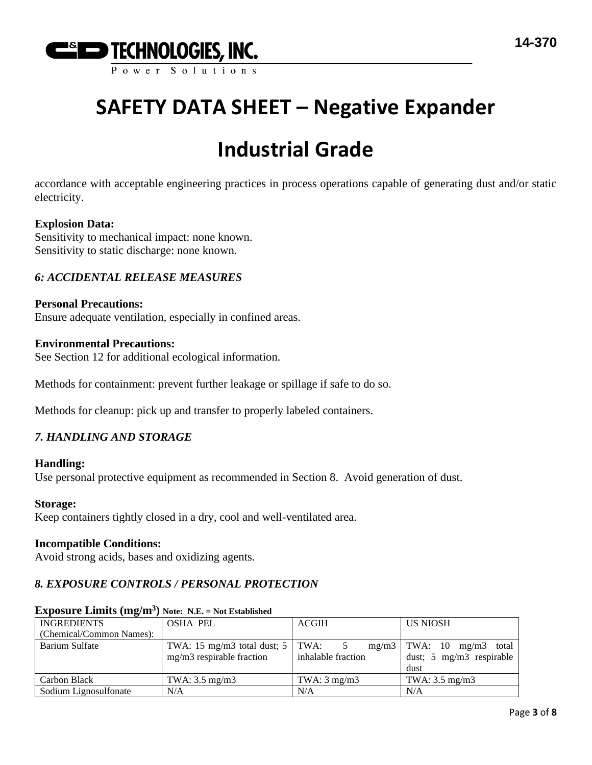

# **Industrial Grade**

accordance with acceptable engineering practices in process operations capable of generating dust and/or static electricity.

### **Explosion Data:**

Sensitivity to mechanical impact: none known. Sensitivity to static discharge: none known.

### *6: ACCIDENTAL RELEASE MEASURES*

#### **Personal Precautions:**

Ensure adequate ventilation, especially in confined areas.

#### **Environmental Precautions:**

See Section 12 for additional ecological information.

Methods for containment: prevent further leakage or spillage if safe to do so.

Methods for cleanup: pick up and transfer to properly labeled containers.

#### *7. HANDLING AND STORAGE*

#### **Handling:**

Use personal protective equipment as recommended in Section 8. Avoid generation of dust.

#### **Storage:**

Keep containers tightly closed in a dry, cool and well-ventilated area.

#### **Incompatible Conditions:**

Avoid strong acids, bases and oxidizing agents.

### *8. EXPOSURE CONTROLS / PERSONAL PROTECTION*

| <b>INGREDIENTS</b>       | <b>OSHA PEL</b>                          | <b>ACGIH</b>              | <b>US NIOSH</b>                |  |  |  |
|--------------------------|------------------------------------------|---------------------------|--------------------------------|--|--|--|
| (Chemical/Common Names): |                                          |                           |                                |  |  |  |
| Barium Sulfate           | TWA: 15 mg/m3 total dust; $5 \mid TWA$ : |                           | $mg/m3$ TWA: 10 mg/m3<br>total |  |  |  |
|                          | mg/m3 respirable fraction                | inhalable fraction        | dust; 5 mg/m3 respirable       |  |  |  |
|                          |                                          |                           | dust                           |  |  |  |
| Carbon Black             | TWA: $3.5 \text{ mg/m}$ 3                | TWA: $3 \text{ mg/m}$ $3$ | TWA: $3.5 \text{ mg/m}$ 3      |  |  |  |
| Sodium Lignosulfonate    | N/A                                      | N/A                       | N/A                            |  |  |  |

### **Exposure Limits (mg/m<sup>3</sup> ) Note: N.E. = Not Established**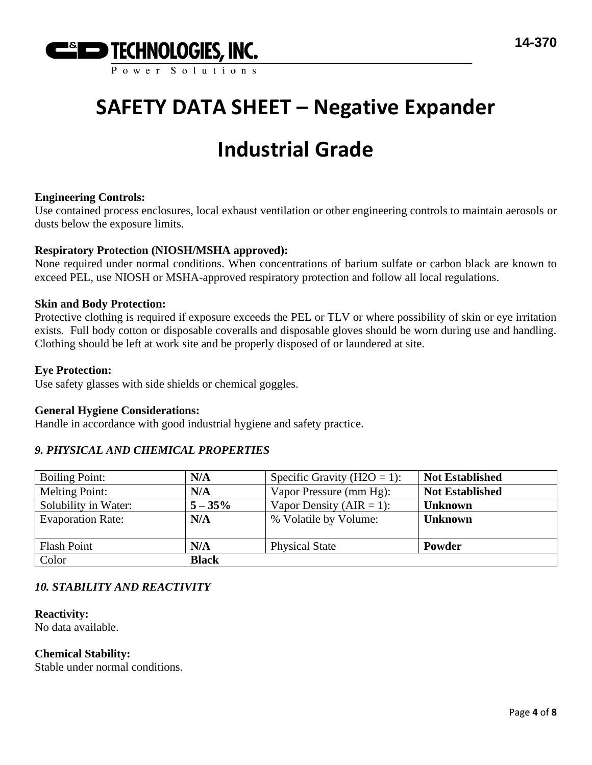

# **Industrial Grade**

### **Engineering Controls:**

Use contained process enclosures, local exhaust ventilation or other engineering controls to maintain aerosols or dusts below the exposure limits.

### **Respiratory Protection (NIOSH/MSHA approved):**

None required under normal conditions. When concentrations of barium sulfate or carbon black are known to exceed PEL, use NIOSH or MSHA-approved respiratory protection and follow all local regulations.

#### **Skin and Body Protection:**

Protective clothing is required if exposure exceeds the PEL or TLV or where possibility of skin or eye irritation exists. Full body cotton or disposable coveralls and disposable gloves should be worn during use and handling. Clothing should be left at work site and be properly disposed of or laundered at site.

#### **Eye Protection:**

Use safety glasses with side shields or chemical goggles.

#### **General Hygiene Considerations:**

Handle in accordance with good industrial hygiene and safety practice.

### *9. PHYSICAL AND CHEMICAL PROPERTIES*

| <b>Boiling Point:</b>    | N/A          | Specific Gravity ( $H2O = 1$ ): | <b>Not Established</b> |
|--------------------------|--------------|---------------------------------|------------------------|
| <b>Melting Point:</b>    | N/A          | Vapor Pressure (mm Hg):         | <b>Not Established</b> |
| Solubility in Water:     | $5 - 35\%$   | Vapor Density ( $AIR = 1$ ):    | <b>Unknown</b>         |
| <b>Evaporation Rate:</b> | N/A          | % Volatile by Volume:           | <b>Unknown</b>         |
|                          |              |                                 |                        |
| <b>Flash Point</b>       | N/A          | <b>Physical State</b>           | Powder                 |
| Color                    | <b>Black</b> |                                 |                        |

### *10. STABILITY AND REACTIVITY*

#### **Reactivity:**

No data available.

#### **Chemical Stability:**

Stable under normal conditions.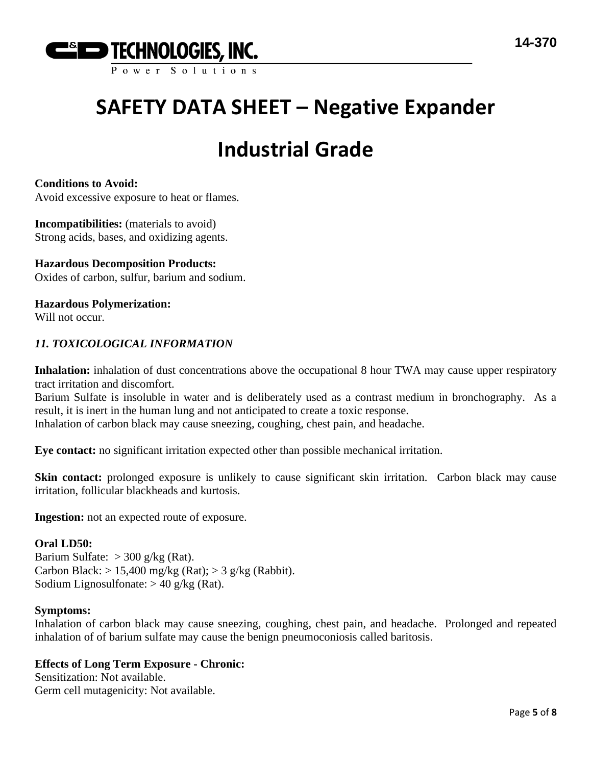

# **Industrial Grade**

**Conditions to Avoid:**

Avoid excessive exposure to heat or flames.

**Incompatibilities:** (materials to avoid) Strong acids, bases, and oxidizing agents.

**Hazardous Decomposition Products:** Oxides of carbon, sulfur, barium and sodium.

**Hazardous Polymerization:** Will not occur.

### *11. TOXICOLOGICAL INFORMATION*

**Inhalation:** inhalation of dust concentrations above the occupational 8 hour TWA may cause upper respiratory tract irritation and discomfort.

Barium Sulfate is insoluble in water and is deliberately used as a contrast medium in bronchography. As a result, it is inert in the human lung and not anticipated to create a toxic response.

Inhalation of carbon black may cause sneezing, coughing, chest pain, and headache.

**Eye contact:** no significant irritation expected other than possible mechanical irritation.

**Skin contact:** prolonged exposure is unlikely to cause significant skin irritation. Carbon black may cause irritation, follicular blackheads and kurtosis.

**Ingestion:** not an expected route of exposure.

#### **Oral LD50:**

Barium Sulfate:  $>$  300 g/kg (Rat). Carbon Black:  $> 15,400$  mg/kg (Rat);  $> 3$  g/kg (Rabbit). Sodium Lignosulfonate:  $> 40$  g/kg (Rat).

#### **Symptoms:**

Inhalation of carbon black may cause sneezing, coughing, chest pain, and headache. Prolonged and repeated inhalation of of barium sulfate may cause the benign pneumoconiosis called baritosis.

#### **Effects of Long Term Exposure - Chronic:**

Sensitization: Not available. Germ cell mutagenicity: Not available.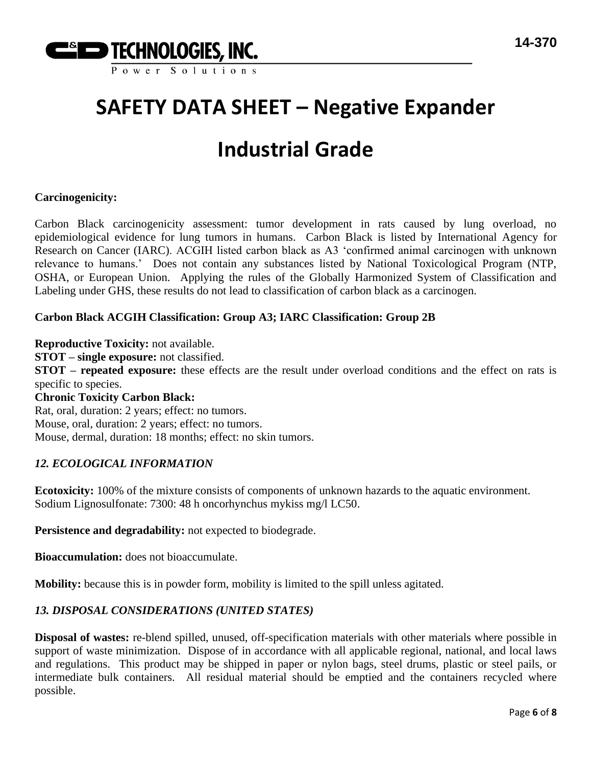

# **Industrial Grade**

### **Carcinogenicity:**

Carbon Black carcinogenicity assessment: tumor development in rats caused by lung overload, no epidemiological evidence for lung tumors in humans. Carbon Black is listed by International Agency for Research on Cancer (IARC). ACGIH listed carbon black as A3 'confirmed animal carcinogen with unknown relevance to humans.' Does not contain any substances listed by National Toxicological Program (NTP, OSHA, or European Union. Applying the rules of the Globally Harmonized System of Classification and Labeling under GHS, these results do not lead to classification of carbon black as a carcinogen.

### **Carbon Black ACGIH Classification: Group A3; IARC Classification: Group 2B**

**Reproductive Toxicity:** not available.

**STOT – single exposure:** not classified.

**STOT – repeated exposure:** these effects are the result under overload conditions and the effect on rats is specific to species.

#### **Chronic Toxicity Carbon Black:**

Rat, oral, duration: 2 years; effect: no tumors. Mouse, oral, duration: 2 years; effect: no tumors. Mouse, dermal, duration: 18 months; effect: no skin tumors.

#### *12. ECOLOGICAL INFORMATION*

**Ecotoxicity:** 100% of the mixture consists of components of unknown hazards to the aquatic environment. Sodium Lignosulfonate: 7300: 48 h oncorhynchus mykiss mg/l LC50.

**Persistence and degradability:** not expected to biodegrade.

**Bioaccumulation:** does not bioaccumulate.

**Mobility:** because this is in powder form, mobility is limited to the spill unless agitated.

### *13. DISPOSAL CONSIDERATIONS (UNITED STATES)*

**Disposal of wastes:** re-blend spilled, unused, off-specification materials with other materials where possible in support of waste minimization. Dispose of in accordance with all applicable regional, national, and local laws and regulations. This product may be shipped in paper or nylon bags, steel drums, plastic or steel pails, or intermediate bulk containers. All residual material should be emptied and the containers recycled where possible.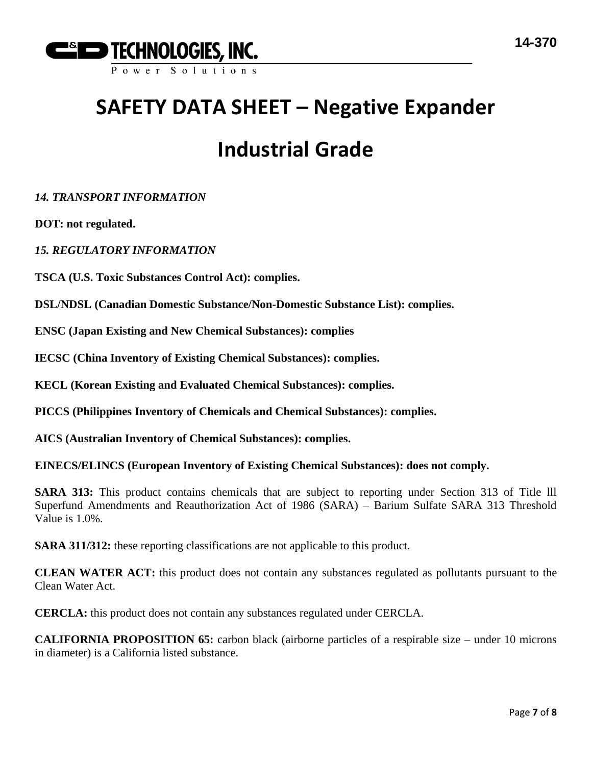

# **Industrial Grade**

*14. TRANSPORT INFORMATION*

**DOT: not regulated.**

*15. REGULATORY INFORMATION*

**TSCA (U.S. Toxic Substances Control Act): complies.**

**DSL/NDSL (Canadian Domestic Substance/Non-Domestic Substance List): complies.**

**ENSC (Japan Existing and New Chemical Substances): complies** 

**IECSC (China Inventory of Existing Chemical Substances): complies.**

**KECL (Korean Existing and Evaluated Chemical Substances): complies.**

**PICCS (Philippines Inventory of Chemicals and Chemical Substances): complies.**

**AICS (Australian Inventory of Chemical Substances): complies.**

**EINECS/ELINCS (European Inventory of Existing Chemical Substances): does not comply.**

**SARA 313:** This product contains chemicals that are subject to reporting under Section 313 of Title lll Superfund Amendments and Reauthorization Act of 1986 (SARA) – Barium Sulfate SARA 313 Threshold Value is 1.0%.

**SARA 311/312:** these reporting classifications are not applicable to this product.

**CLEAN WATER ACT:** this product does not contain any substances regulated as pollutants pursuant to the Clean Water Act.

**CERCLA:** this product does not contain any substances regulated under CERCLA.

**CALIFORNIA PROPOSITION 65:** carbon black (airborne particles of a respirable size – under 10 microns in diameter) is a California listed substance.